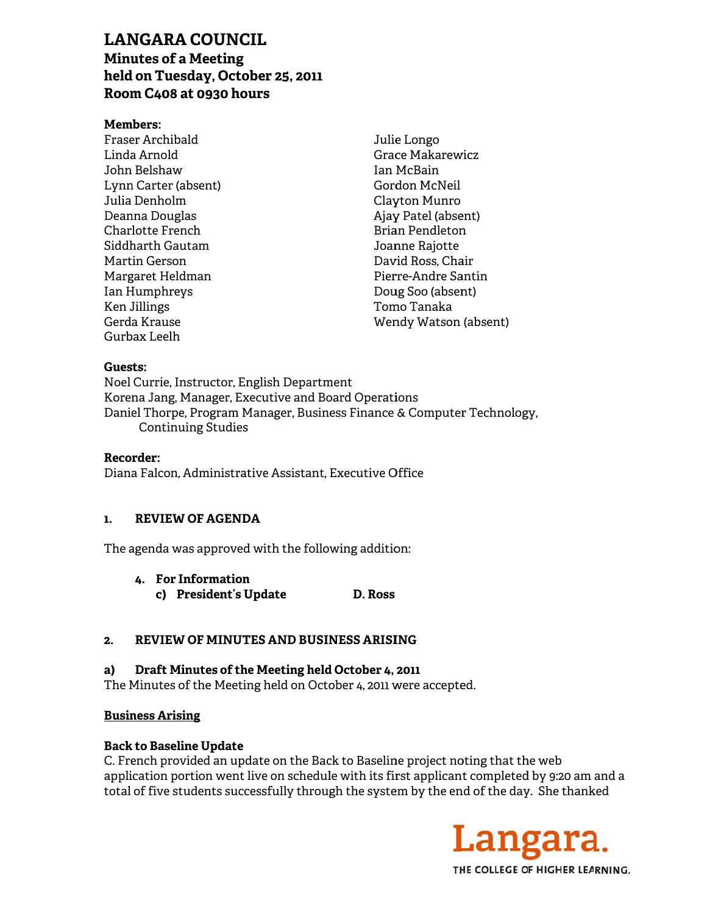# **LANGARA COUNCIL**

**Minutes of a Meeting** held on Tuesday, October 25, 2011 Room C408 at 0930 hours

#### **Members:**

Fraser Archibald Linda Arnold John Belshaw Lynn Carter (absent) Julia Denholm Deanna Douglas Charlotte French Siddharth Gautam Martin Gerson Margaret Heldman Ian Humphreys Ken Jillings Gerda Krause Gurbax Leelh

Julie Longo **Grace Makarewicz** Ian McBain Gordon McNeil Clayton Munro Ajay Patel (absent) **Brian Pendleton** Joanne Rajotte David Ross, Chair Pierre-Andre Santin Doug Soo (absent) Tomo Tanaka Wendy Watson (absent)

#### Guests:

Noel Currie, Instructor, English Department Korena Jang, Manager, Executive and Board Operations Daniel Thorpe, Program Manager, Business Finance & Computer Technology, **Continuing Studies** 

**Recorder:** 

Diana Falcon, Administrative Assistant, Executive Office

#### $\mathbf{1}$ . **REVIEW OF AGENDA**

The agenda was approved with the following addition:

- 4. For Information
	- c) President's Update D. Ross

#### 2. **REVIEW OF MINUTES AND BUSINESS ARISING**

#### a) Draft Minutes of the Meeting held October 4, 2011

The Minutes of the Meeting held on October 4, 2011 were accepted.

### **Business Arising**

### **Back to Baseline Update**

C. French provided an update on the Back to Baseline project noting that the web application portion went live on schedule with its first applicant completed by 9:20 am and a total of five students successfully through the system by the end of the day. She thanked

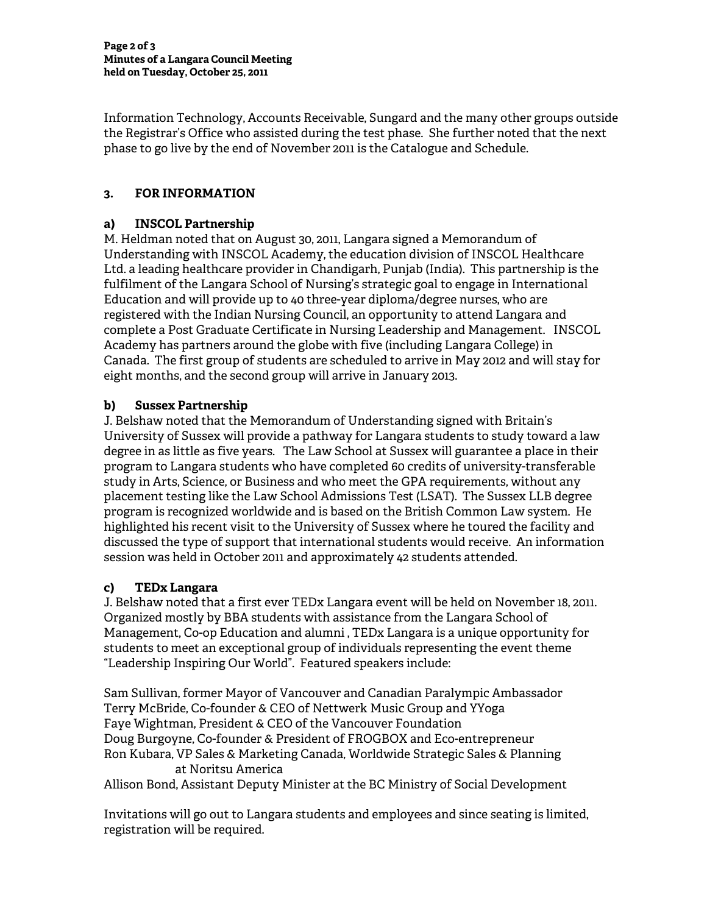Information Technology, Accounts Receivable, Sungard and the many other groups outside the Registrar's Office who assisted during the test phase. She further noted that the next phase to go live by the end of November 2011 is the Catalogue and Schedule.

# **3. FOR INFORMATION**

# **a) INSCOL Partnership**

M. Heldman noted that on August 30, 2011, Langara signed a Memorandum of Understanding with INSCOL Academy, the education division of INSCOL Healthcare Ltd. a leading healthcare provider in Chandigarh, Punjab (India). This partnership is the fulfilment of the Langara School of Nursing's strategic goal to engage in International Education and will provide up to 40 three-year diploma/degree nurses, who are registered with the Indian Nursing Council, an opportunity to attend Langara and complete a Post Graduate Certificate in Nursing Leadership and Management. INSCOL Academy has partners around the globe with five (including Langara College) in Canada. The first group of students are scheduled to arrive in May 2012 and will stay for eight months, and the second group will arrive in January 2013.

### **b) Sussex Partnership**

J. Belshaw noted that the Memorandum of Understanding signed with Britain's University of Sussex will provide a pathway for Langara students to study toward a law degree in as little as five years. The Law School at Sussex will guarantee a place in their program to Langara students who have completed 60 credits of university-transferable study in Arts, Science, or Business and who meet the GPA requirements, without any placement testing like the Law School Admissions Test (LSAT). The Sussex LLB degree program is recognized worldwide and is based on the British Common Law system. He highlighted his recent visit to the University of Sussex where he toured the facility and discussed the type of support that international students would receive. An information session was held in October 2011 and approximately 42 students attended.

### **c) TEDx Langara**

J. Belshaw noted that a first ever TEDx Langara event will be held on November 18, 2011. Organized mostly by BBA students with assistance from the Langara School of Management, Co-op Education and alumni , TEDx Langara is a unique opportunity for students to meet an exceptional group of individuals representing the event theme "Leadership Inspiring Our World". Featured speakers include:

Sam Sullivan, former Mayor of Vancouver and Canadian Paralympic Ambassador Terry McBride, Co-founder & CEO of Nettwerk Music Group and YYoga Faye Wightman, President & CEO of the Vancouver Foundation Doug Burgoyne, Co-founder & President of FROGBOX and Eco-entrepreneur Ron Kubara, VP Sales & Marketing Canada, Worldwide Strategic Sales & Planning at Noritsu America

Allison Bond, Assistant Deputy Minister at the BC Ministry of Social Development

Invitations will go out to Langara students and employees and since seating is limited, registration will be required.